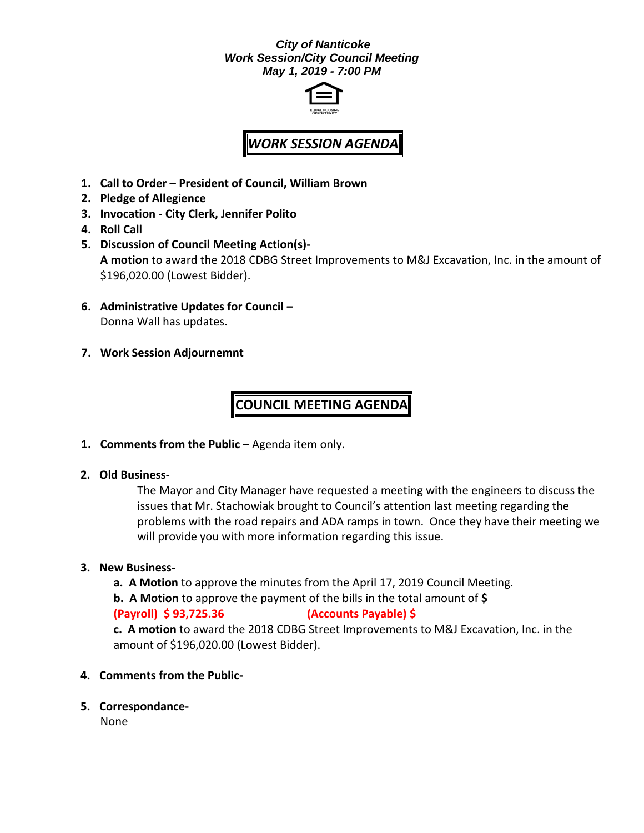#### *City of Nanticoke Work Session/City Council Meeting May 1, 2019 - 7:00 PM*



# *WORK SESSION AGENDA*

- **1. Call to Order – President of Council, William Brown**
- **2. Pledge of Allegience**
- **3. Invocation - City Clerk, Jennifer Polito**
- **4. Roll Call**
- **5. Discussion of Council Meeting Action(s)- A motion** to award the 2018 CDBG Street Improvements to M&J Excavation, Inc. in the amount of \$196,020.00 (Lowest Bidder).
- **6. Administrative Updates for Council –** Donna Wall has updates.
- **7. Work Session Adjournemnt**

## **COUNCIL MEETING AGENDA**

**1. Comments from the Public –** Agenda item only.

#### **2. Old Business-**

The Mayor and City Manager have requested a meeting with the engineers to discuss the issues that Mr. Stachowiak brought to Council's attention last meeting regarding the problems with the road repairs and ADA ramps in town. Once they have their meeting we will provide you with more information regarding this issue.

#### **3. New Business-**

- **a. A Motion** to approve the minutes from the April 17, 2019 Council Meeting.
- **b. A Motion** to approve the payment of the bills in the total amount of **\$**

### **(Payroll) \$ 93,725.36 (Accounts Payable) \$**

**c. A motion** to award the 2018 CDBG Street Improvements to M&J Excavation, Inc. in the amount of \$196,020.00 (Lowest Bidder).

- **4. Comments from the Public-**
- **5. Correspondance-**

None